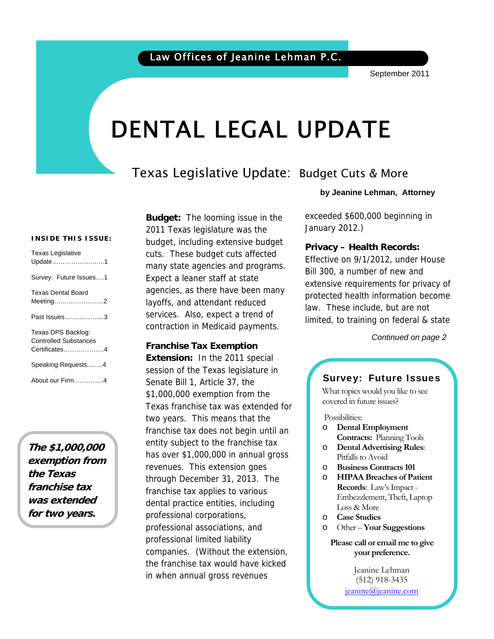# DENTAL LEGAL UPDATE

# Texas Legislative Update: Budget Cuts & More

#### **INSIDE THIS ISSUE:**

| <b>Texas Legislative</b><br>Update1                                 |
|---------------------------------------------------------------------|
| Survey: Future Issues1                                              |
| <b>Texas Dental Board</b><br>Meeting2                               |
| Past Issues3                                                        |
| Texas DPS Backlog:<br><b>Controlled Substances</b><br>Certificates4 |
| Speaking Requests4                                                  |
| About our Firm4                                                     |

**The \$1,000,000 exemption from the Texas franchise tax was extended for two years.**

**Budget:** The looming issue in the 2011 Texas legislature was the budget, including extensive budget cuts. These budget cuts affected many state agencies and programs. Expect a leaner staff at state agencies, as there have been many layoffs, and attendant reduced services. Also, expect a trend of contraction in Medicaid payments.

**Franchise Tax Exemption Extension:** In the 2011 special session of the Texas legislature in Senate Bill 1, Article 37, the \$1,000,000 exemption from the Texas franchise tax was extended for two years. This means that the franchise tax does not begin until an entity subject to the franchise tax has over \$1,000,000 in annual gross revenues. This extension goes through December 31, 2013. The franchise tax applies to various dental practice entities, including professional corporations, professional associations, and professional limited liability companies. (Without the extension, the franchise tax would have kicked in when annual gross revenues

**by Jeanine Lehman, Attorney**

exceeded \$600,000 beginning in January 2012.)

#### **Privacy – Health Records:**

Effective on 9/1/2012, under House Bill 300, a number of new and extensive requirements for privacy of protected health information become law. These include, but are not limited, to training on federal & state

 *Continued on page 2* 

### Survey: Future Issues

What topics would you like to see covered in future issues?

Possibilities:

- o **Dental Employment Contracts:** Planning Tools
- o **Dental Advertising Rules**: Pitfalls to Avoid
- o **Business Contracts 101**
- o **HIPAA Breaches of Patient Records**: Law's Impact - Embezzlement, Theft, Laptop Loss & More
- o **Case Studies**
- o Other **Your Suggestions**

**Please call or email me to give your preference.** 

> Jeanine Lehman (512) 918-3435 jeanine@jeanine.com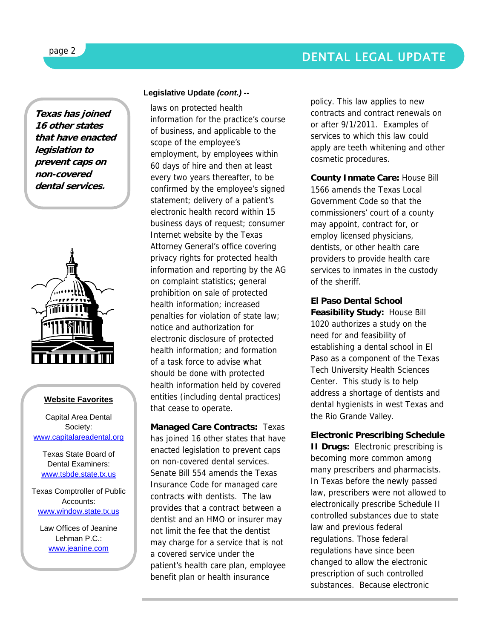



#### **Website Favorites**

Capital Area Dental Society: www.capitalareadental.org

Texas State Board of Dental Examiners: www.tsbde.state.tx.us

Texas Comptroller of Public Accounts: www.window.state.tx.us

Law Offices of Jeanine Lehman P.C.: www.jeanine.com

#### **Legislative Update** *(cont.) --*

laws on protected health information for the practice's course of business, and applicable to the scope of the employee's employment, by employees within 60 days of hire and then at least every two years thereafter, to be confirmed by the employee's signed statement; delivery of a patient's electronic health record within 15 business days of request; consumer Internet website by the Texas Attorney General's office covering privacy rights for protected health information and reporting by the AG on complaint statistics; general prohibition on sale of protected health information; increased penalties for violation of state law; notice and authorization for electronic disclosure of protected health information; and formation of a task force to advise what should be done with protected health information held by covered entities (including dental practices) that cease to operate.

**Managed Care Contracts:** Texas has joined 16 other states that have enacted legislation to prevent caps on non-covered dental services. Senate Bill 554 amends the Texas Insurance Code for managed care contracts with dentists. The law provides that a contract between a dentist and an HMO or insurer may not limit the fee that the dentist may charge for a service that is not a covered service under the patient's health care plan, employee benefit plan or health insurance

policy. This law applies to new contracts and contract renewals on or after 9/1/2011. Examples of services to which this law could apply are teeth whitening and other cosmetic procedures.

**County Inmate Care:** House Bill 1566 amends the Texas Local Government Code so that the commissioners' court of a county may appoint, contract for, or employ licensed physicians, dentists, or other health care providers to provide health care services to inmates in the custody of the sheriff.

**El Paso Dental School Feasibility Study:** House Bill 1020 authorizes a study on the need for and feasibility of establishing a dental school in El Paso as a component of the Texas Tech University Health Sciences Center. This study is to help address a shortage of dentists and dental hygienists in west Texas and the Rio Grande Valley.

**Electronic Prescribing Schedule II Drugs:** Electronic prescribing is becoming more common among many prescribers and pharmacists. In Texas before the newly passed law, prescribers were not allowed to electronically prescribe Schedule II controlled substances due to state law and previous federal regulations. Those federal regulations have since been changed to allow the electronic prescription of such controlled substances. Because electronic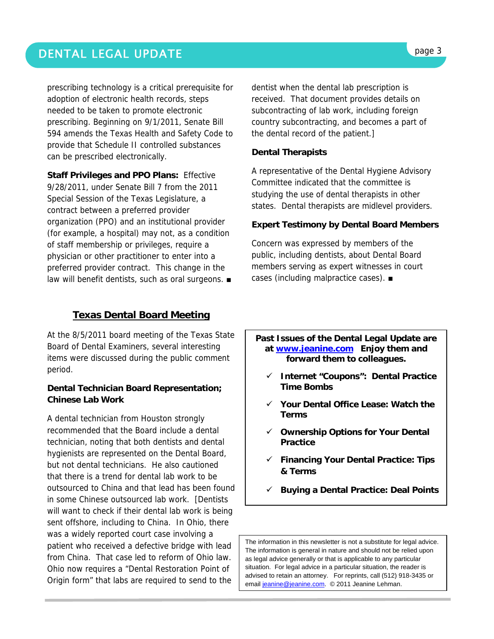# DENTAL LEGAL UPDATE **page 3**

prescribing technology is a critical prerequisite for adoption of electronic health records, steps needed to be taken to promote electronic prescribing. Beginning on 9/1/2011, Senate Bill 594 amends the Texas Health and Safety Code to provide that Schedule II controlled substances can be prescribed electronically.

**Staff Privileges and PPO Plans:** Effective 9/28/2011, under Senate Bill 7 from the 2011 Special Session of the Texas Legislature, a contract between a preferred provider organization (PPO) and an institutional provider (for example, a hospital) may not, as a condition of staff membership or privileges, require a physician or other practitioner to enter into a preferred provider contract. This change in the law will benefit dentists, such as oral surgeons. ■

## **Texas Dental Board Meeting**

At the 8/5/2011 board meeting of the Texas State Board of Dental Examiners, several interesting items were discussed during the public comment period.

#### **Dental Technician Board Representation; Chinese Lab Work**

A dental technician from Houston strongly recommended that the Board include a dental technician, noting that both dentists and dental hygienists are represented on the Dental Board, but not dental technicians. He also cautioned that there is a trend for dental lab work to be outsourced to China and that lead has been found in some Chinese outsourced lab work. [Dentists will want to check if their dental lab work is being sent offshore, including to China. In Ohio, there was a widely reported court case involving a patient who received a defective bridge with lead from China. That case led to reform of Ohio law. Ohio now requires a "Dental Restoration Point of Origin form" that labs are required to send to the

dentist when the dental lab prescription is received. That document provides details on subcontracting of lab work, including foreign country subcontracting, and becomes a part of the dental record of the patient.]

#### **Dental Therapists**

A representative of the Dental Hygiene Advisory Committee indicated that the committee is studying the use of dental therapists in other states. Dental therapists are midlevel providers.

#### **Expert Testimony by Dental Board Members**

Concern was expressed by members of the public, including dentists, about Dental Board members serving as expert witnesses in court cases (including malpractice cases). ■

**Past Issues of the Dental Legal Update are at www.jeanine.com Enjoy them and forward them to colleagues.** 

- 9 **Internet "Coupons": Dental Practice Time Bombs**
- 9 **Your Dental Office Lease: Watch the Terms**
- 9 **Ownership Options for Your Dental Practice**
- 9 **Financing Your Dental Practice: Tips & Terms**
- 9 **Buying a Dental Practice: Deal Points**

The information in this newsletter is not a substitute for legal advice. The information is general in nature and should not be relied upon as legal advice generally or that is applicable to any particular situation. For legal advice in a particular situation, the reader is advised to retain an attorney. For reprints, call (512) 918-3435 or email jeanine@jeanine.com. © 2011 Jeanine Lehman.